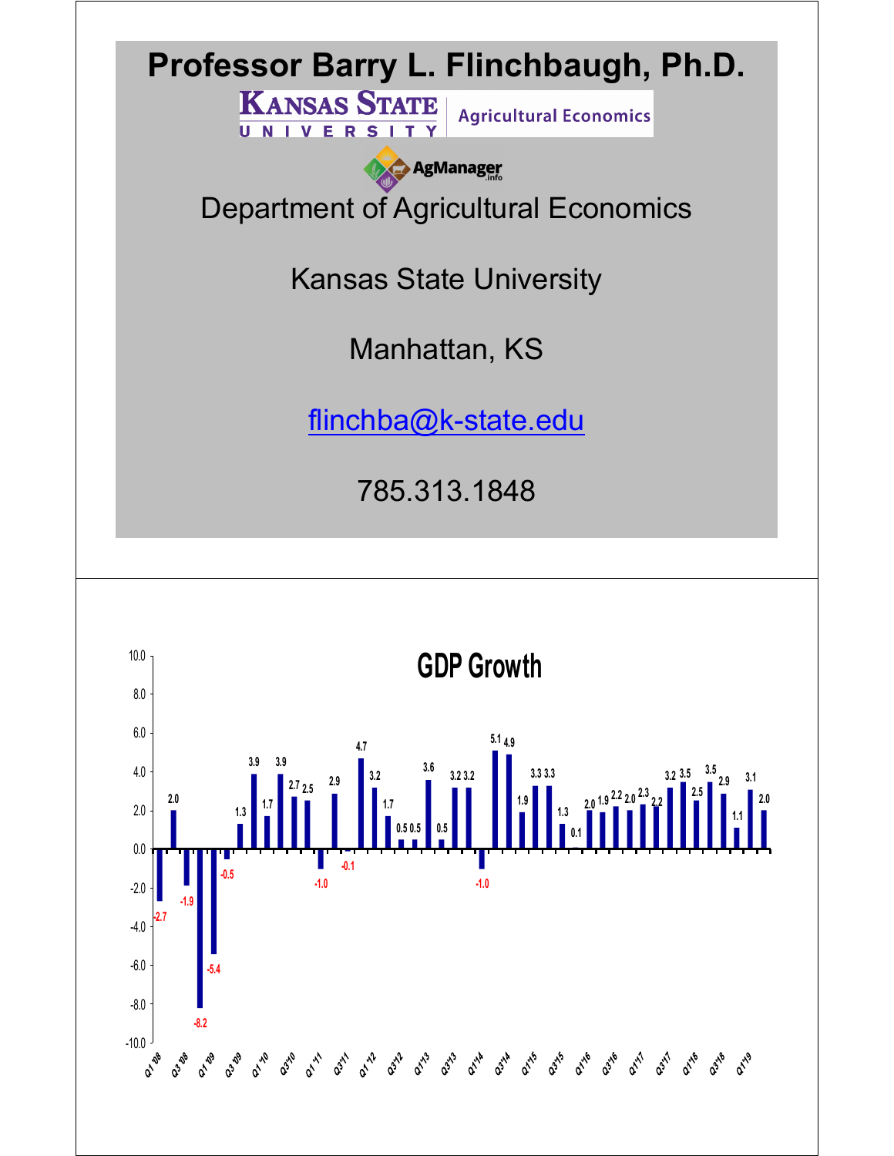

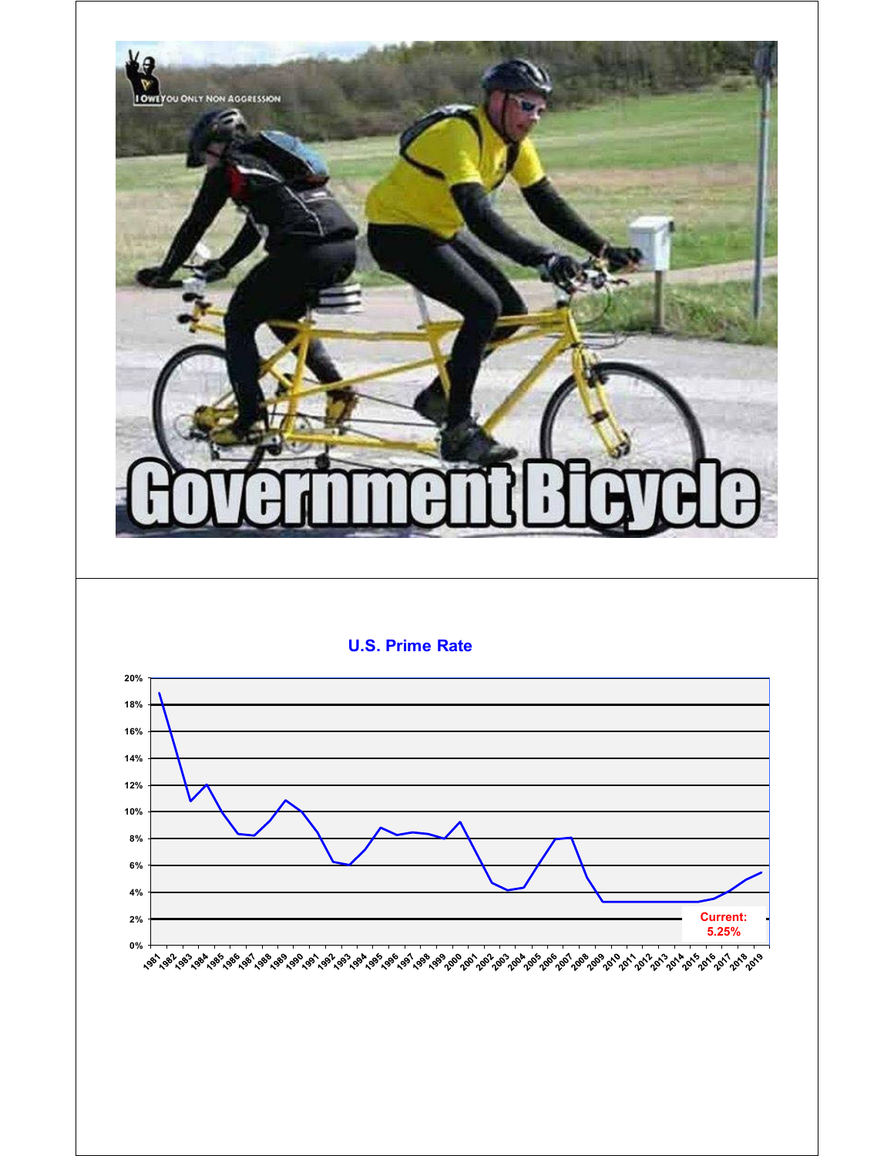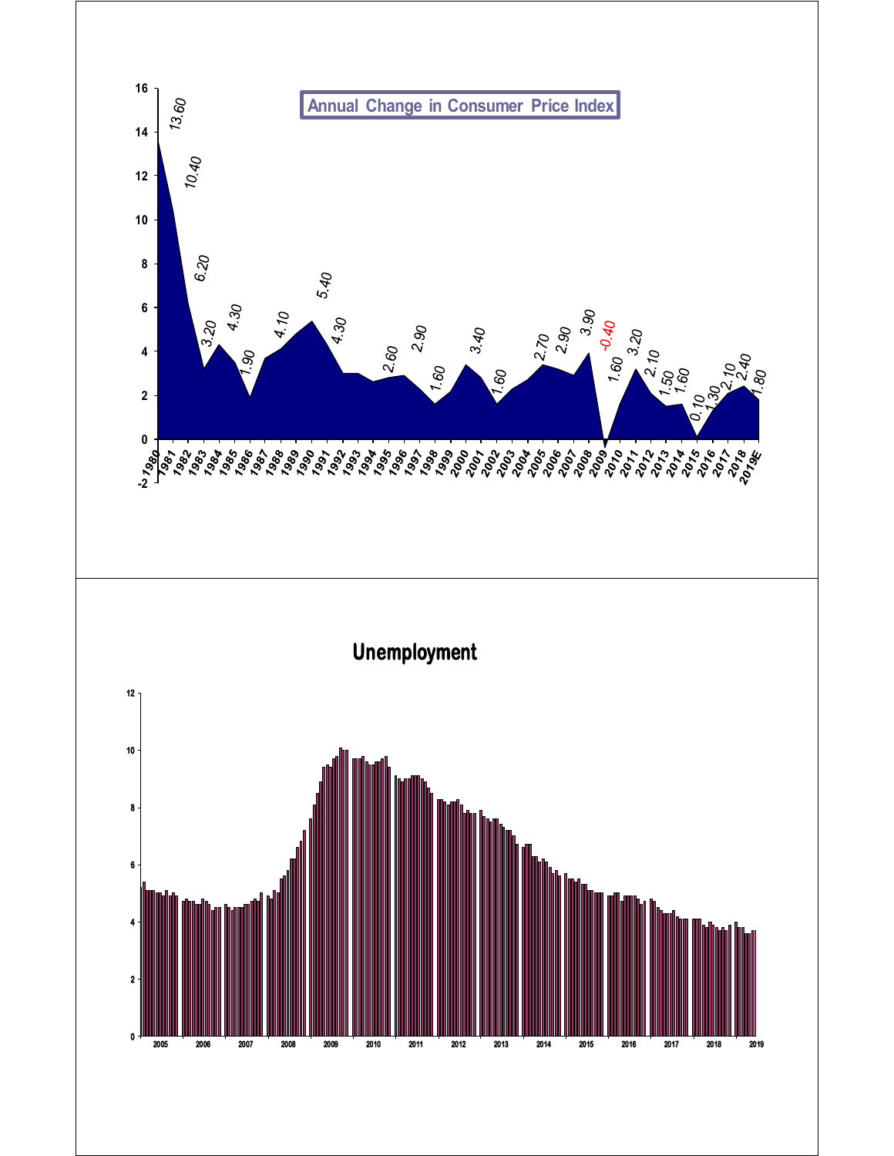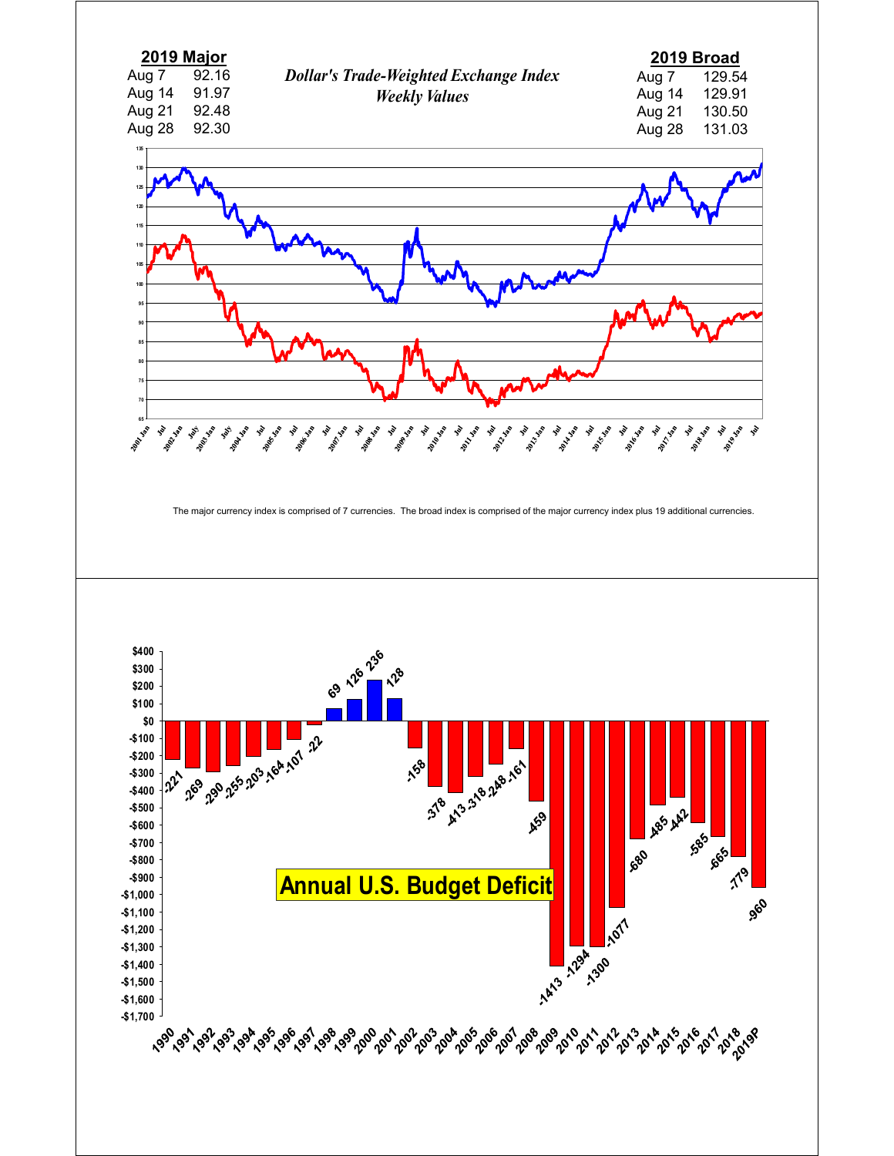